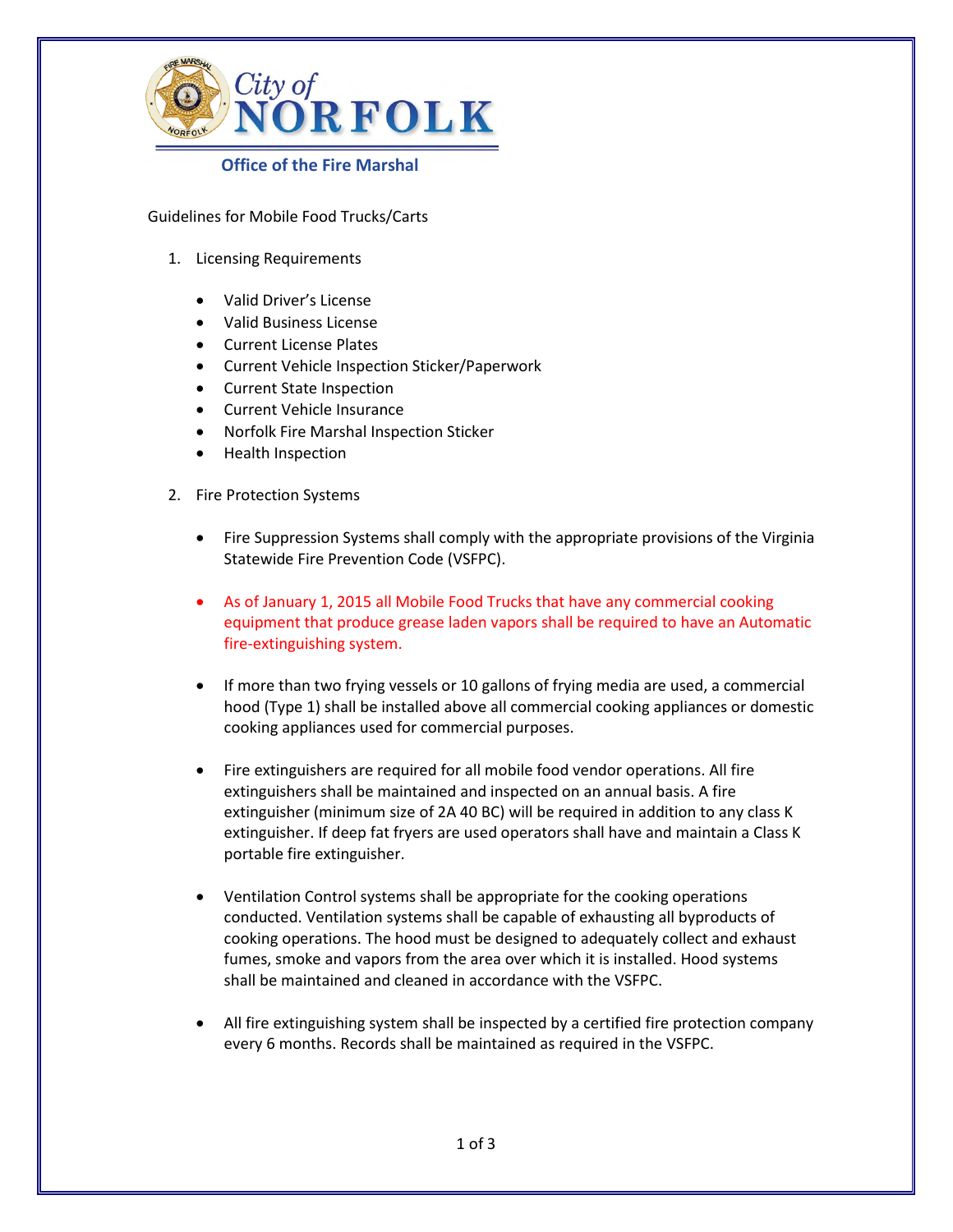

## **Office of the Fire Marshal**

Guidelines for Mobile Food Trucks/Carts

- 1. Licensing Requirements
	- Valid Driver's License
	- Valid Business License
	- Current License Plates
	- Current Vehicle Inspection Sticker/Paperwork
	- Current State Inspection
	- Current Vehicle Insurance
	- Norfolk Fire Marshal Inspection Sticker
	- Health Inspection
- 2. Fire Protection Systems
	- Fire Suppression Systems shall comply with the appropriate provisions of the Virginia Statewide Fire Prevention Code (VSFPC).
	- As of January 1, 2015 all Mobile Food Trucks that have any commercial cooking equipment that produce grease laden vapors shall be required to have an Automatic fire-extinguishing system.
	- If more than two frying vessels or 10 gallons of frying media are used, a commercial hood (Type 1) shall be installed above all commercial cooking appliances or domestic cooking appliances used for commercial purposes.
	- Fire extinguishers are required for all mobile food vendor operations. All fire extinguishers shall be maintained and inspected on an annual basis. A fire extinguisher (minimum size of 2A 40 BC) will be required in addition to any class K extinguisher. If deep fat fryers are used operators shall have and maintain a Class K portable fire extinguisher.
	- Ventilation Control systems shall be appropriate for the cooking operations conducted. Ventilation systems shall be capable of exhausting all byproducts of cooking operations. The hood must be designed to adequately collect and exhaust fumes, smoke and vapors from the area over which it is installed. Hood systems shall be maintained and cleaned in accordance with the VSFPC.
	- All fire extinguishing system shall be inspected by a certified fire protection company every 6 months. Records shall be maintained as required in the VSFPC.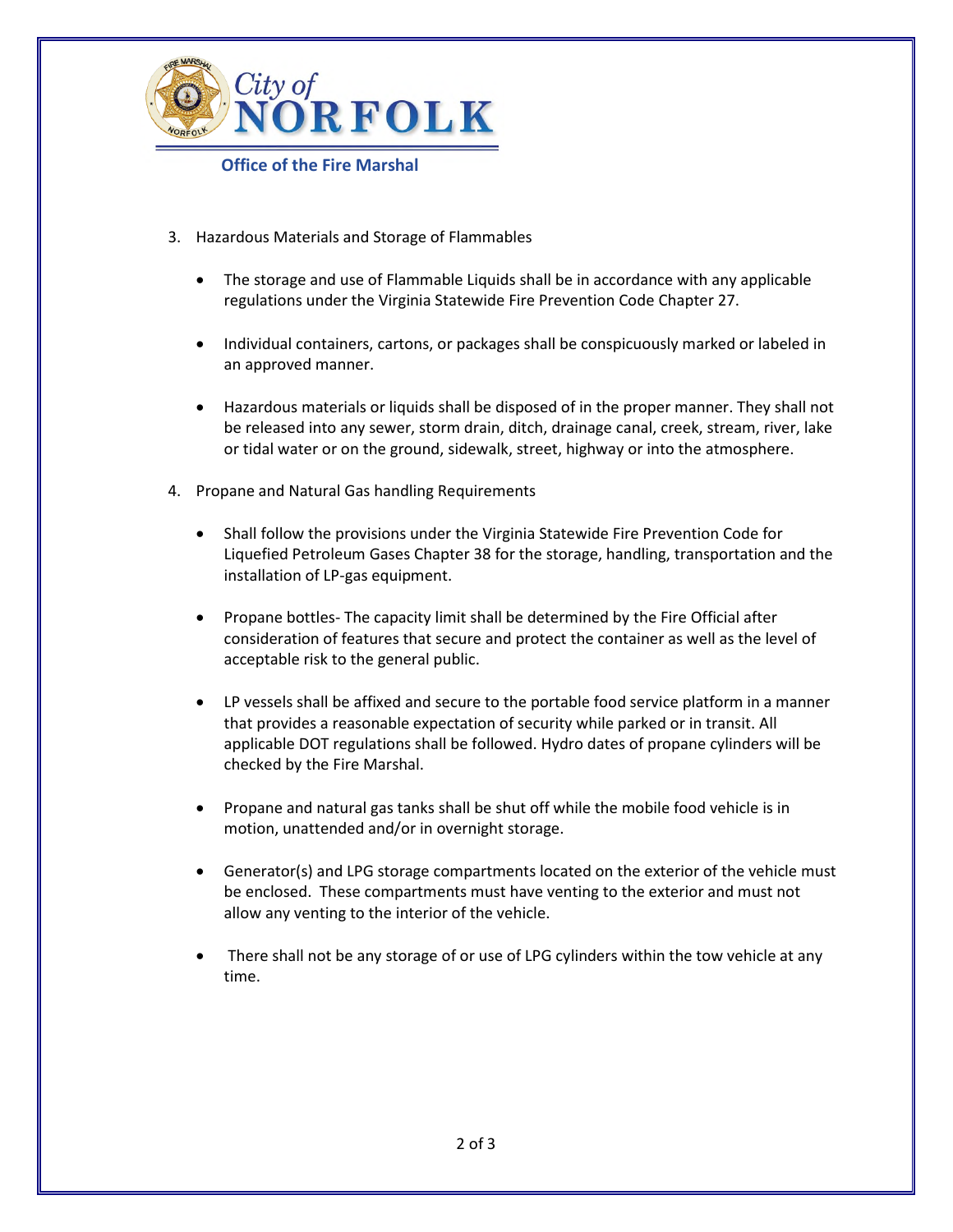

**Office of the Fire Marshal** 

- 3. Hazardous Materials and Storage of Flammables
	- The storage and use of Flammable Liquids shall be in accordance with any applicable regulations under the Virginia Statewide Fire Prevention Code Chapter 27.
	- Individual containers, cartons, or packages shall be conspicuously marked or labeled in an approved manner.
	- Hazardous materials or liquids shall be disposed of in the proper manner. They shall not be released into any sewer, storm drain, ditch, drainage canal, creek, stream, river, lake or tidal water or on the ground, sidewalk, street, highway or into the atmosphere.
- 4. Propane and Natural Gas handling Requirements
	- Shall follow the provisions under the Virginia Statewide Fire Prevention Code for Liquefied Petroleum Gases Chapter 38 for the storage, handling, transportation and the installation of LP-gas equipment.
	- Propane bottles- The capacity limit shall be determined by the Fire Official after consideration of features that secure and protect the container as well as the level of acceptable risk to the general public.
	- LP vessels shall be affixed and secure to the portable food service platform in a manner that provides a reasonable expectation of security while parked or in transit. All applicable DOT regulations shall be followed. Hydro dates of propane cylinders will be checked by the Fire Marshal.
	- Propane and natural gas tanks shall be shut off while the mobile food vehicle is in motion, unattended and/or in overnight storage.
	- Generator(s) and LPG storage compartments located on the exterior of the vehicle must be enclosed. These compartments must have venting to the exterior and must not allow any venting to the interior of the vehicle.
	- There shall not be any storage of or use of LPG cylinders within the tow vehicle at any time.